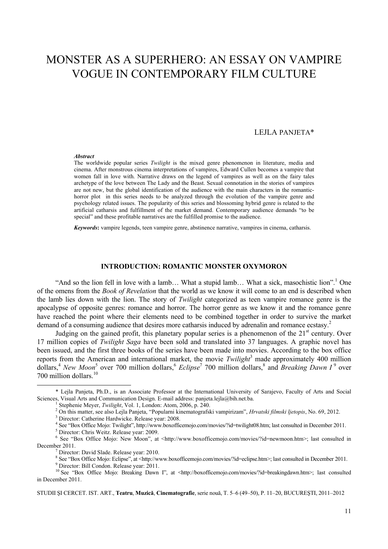# MONSTER AS A SUPERHERO: AN ESSAY ON VAMPIRE VOGUE IN CONTEMPORARY FILM CULTURE

# LEJLA PANJETA\*

#### *Abstract*

The worldwide popular series *Twilight* is the mixed genre phenomenon in literature, media and cinema. After monstrous cinema interpretations of vampires, Edward Cullen becomes a vampire that women fall in love with. Narrative draws on the legend of vampires as well as on the fairy tales archetype of the love between The Lady and the Beast. Sexual connotation in the stories of vampires are not new, but the global identification of the audience with the main characters in the romantichorror plot in this series needs to be analyzed through the evolution of the vampire genre and psychology related issues. The popularity of this series and blossoming hybrid genre is related to the artificial catharsis and fulfillment of the market demand. Contemporary audience demands "to be special" and these profitable narratives are the fulfilled promise to the audience.

*Keywords***:** vampire legends, teen vampire genre, abstinence narrative, vampires in cinema, catharsis.

#### **INTRODUCTION: ROMANTIC MONSTER OXYMORON**

"And so the lion fell in love with a lamb... What a stupid lamb... What a sick, masochistic lion".<sup>1</sup> One of the omens from the *Book of Revelation* that the world as we know it will come to an end is described when the lamb lies down with the lion. The story of *Twilight* categorized as teen vampire romance genre is the apocalypse of opposite genres: romance and horror. The horror genre as we know it and the romance genre have reached the point where their elements need to be combined together in order to survive the market demand of a consuming audience that desires more catharsis induced by adrenalin and romance ecstasy.<sup>2</sup>

Judging on the gained profit, this planetary popular series is a phenomenon of the  $21<sup>st</sup>$  century. Over 17 million copies of *Twilight Saga* have been sold and translated into 37 languages. A graphic novel has been issued, and the first three books of the series have been made into movies. According to the box office reports from the American and international market, the movie *Twilight*<sup>3</sup> made approximately 400 million dollars,<sup>4</sup> *New Moon*<sup>5</sup> over 700 million dollars,<sup>6</sup> *Eclipse*<sup>7</sup> 700 million dollars,<sup>8</sup> and *Breaking Dawn I*<sup>9</sup> over 700 million dollars.<sup>10</sup>

 $\overline{a}$ 

STUDII ŞI CERCET. IST. ART., **Teatru**, **Muzică**, **Cinematografie**, serie nouă, T. 5–6 (49–50), P. 11–20, BUCUREŞTI, 2011–2012

<sup>\*</sup> Lejla Panjeta, Ph.D., is an Associate Professor at the International University of Sarajevo, Faculty of Arts and Social Sciences, Visual Arts and Communication Design. E-mail address: panjeta.lejla@bih.net.ba.<br><sup>1</sup> Stephenie Meyer, *Twilight*, Vol. 1, London: Atom, 2006, p. 240.

Stephenie Meyer, *Twilight*, Vol. 1, London: Atom, 2006, p. 240.

<sup>&</sup>lt;sup>2</sup> On this matter, see also Lejla Panjeta, "Popularni kinematografski vampirizam", *Hrvatski filmski ljetopis*, No. 69, 2012.<br><sup>3</sup> Director: Cetherine Herdwicke, Belesse very 2008.

<sup>&</sup>lt;sup>3</sup> Director: Catherine Hardwicke. Release year: 2008.

<sup>&</sup>lt;sup>4</sup> See "Box Office Mojo: Twilight", http://www.boxofficemojo.com/movies/?id=twilight08.htm; last consulted in December 2011.

<sup>&</sup>lt;sup>5</sup> Director: Chris Weitz. Release year: 2009.

<sup>&</sup>lt;sup>6</sup> See "Box Office Mojo: New Moon", at <http://www.boxofficemojo.com/movies/?id=newmoon.htm>; last consulted in December 2011.

Director: David Slade. Release year: 2010.

<sup>&</sup>lt;sup>8</sup> See "Box Office Mojo: Eclipse", at <http://www.boxofficemojo.com/movies/?id=eclipse.htm>; last consulted in December 2011.<br><sup>9</sup> Director: Bill Condon. Release year: 2011.

<sup>&</sup>lt;sup>10</sup> See "Box Office Mojo: Breaking Dawn I", at <http://boxofficemojo.com/movies/?id=breakingdawn.htm>; last consulted in December 2011.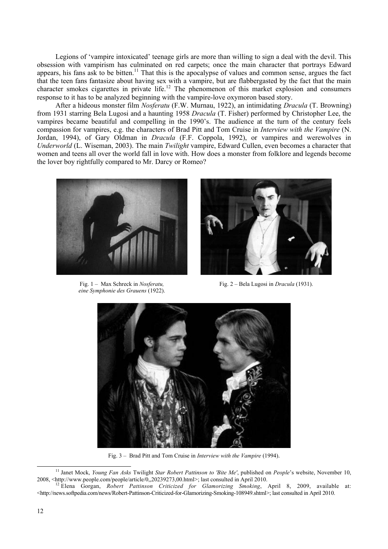Legions of 'vampire intoxicated' teenage girls are more than willing to sign a deal with the devil. This obsession with vampirism has culminated on red carpets; once the main character that portrays Edward appears, his fans ask to be bitten.<sup>11</sup> That this is the apocalypse of values and common sense, argues the fact that the teen fans fantasize about having sex with a vampire, but are flabbergasted by the fact that the main character smokes cigarettes in private life.<sup>12</sup> The phenomenon of this market explosion and consumers response to it has to be analyzed beginning with the vampire-love oxymoron based story.

After a hideous monster film *Nosferatu* (F.W. Murnau, 1922), an intimidating *Dracula* (T. Browning) from 1931 starring Bela Lugosi and a haunting 1958 *Dracula* (T. Fisher) performed by Christopher Lee, the vampires became beautiful and compelling in the 1990's. The audience at the turn of the century feels compassion for vampires, e.g. the characters of Brad Pitt and Tom Cruise in *Interview with the Vampire* (N. Jordan, 1994), of Gary Oldman in *Dracula* (F.F. Coppola, 1992), or vampires and werewolves in *Underworld* (L. Wiseman, 2003). The main *Twilight* vampire, Edward Cullen, even becomes a character that women and teens all over the world fall in love with. How does a monster from folklore and legends become the lover boy rightfully compared to Mr. Darcy or Romeo?



Fig. 1 – Max Schreck in *Nosferatu, eine Symphonie des Grauens* (1922).



Fig. 2 – Bela Lugosi in *Dracula* (1931).



Fig. 3 – Brad Pitt and Tom Cruise in *Interview with the Vampire* (1994).

 <sup>11</sup> Janet Mock, *Young Fan Asks* Twilight *Star Robert Pattinson to 'Bite Me'*, published on *People*'s website, November 10, 2008, <http://www.people.com/people/article/0,,20239273,00.html>; last consulted in April 2010.<br><sup>12</sup> Elena Gorgan, *Robert Pattinson Criticized for Glamorizing Smoking*, April 8, 2009, available at:

<sup>&</sup>lt;http://news.softpedia.com/news/Robert-Pattinson-Criticized-for-Glamorizing-Smoking-108949.shtml>; last consulted in April 2010.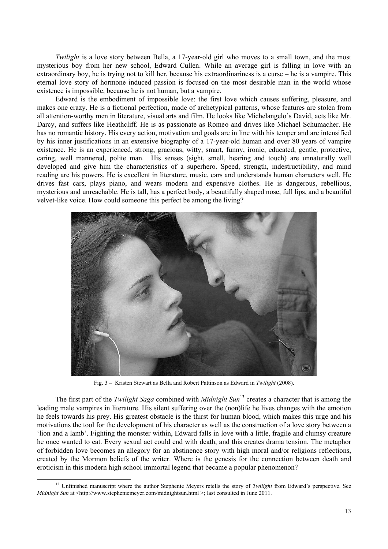*Twilight* is a love story between Bella, a 17-year-old girl who moves to a small town, and the most mysterious boy from her new school, Edward Cullen. While an average girl is falling in love with an extraordinary boy, he is trying not to kill her, because his extraordinariness is a curse – he is a vampire. This eternal love story of hormone induced passion is focused on the most desirable man in the world whose existence is impossible, because he is not human, but a vampire.

Edward is the embodiment of impossible love: the first love which causes suffering, pleasure, and makes one crazy. He is a fictional perfection, made of archetypical patterns, whose features are stolen from all attention-worthy men in literature, visual arts and film. He looks like Michelangelo's David, acts like Mr. Darcy, and suffers like Heathcliff. He is as passionate as Romeo and drives like Michael Schumacher. He has no romantic history. His every action, motivation and goals are in line with his temper and are intensified by his inner justifications in an extensive biography of a 17-year-old human and over 80 years of vampire existence. He is an experienced, strong, gracious, witty, smart, funny, ironic, educated, gentle, protective, caring, well mannered, polite man. His senses (sight, smell, hearing and touch) are unnaturally well developed and give him the characteristics of a superhero. Speed, strength, indestructibility, and mind reading are his powers. He is excellent in literature, music, cars and understands human characters well. He drives fast cars, plays piano, and wears modern and expensive clothes. He is dangerous, rebellious, mysterious and unreachable. He is tall, has a perfect body, a beautifully shaped nose, full lips, and a beautiful velvet-like voice. How could someone this perfect be among the living?



Fig. 3 – Kristen Stewart as Bella and Robert Pattinson as Edward in *Twilight* (2008).

The first part of the *Twilight Saga* combined with *Midnight Sun*13 creates a character that is among the leading male vampires in literature. His silent suffering over the (non)life he lives changes with the emotion he feels towards his prey. His greatest obstacle is the thirst for human blood, which makes this urge and his motivations the tool for the development of his character as well as the construction of a love story between a 'lion and a lamb'. Fighting the monster within, Edward falls in love with a little, fragile and clumsy creature he once wanted to eat. Every sexual act could end with death, and this creates drama tension. The metaphor of forbidden love becomes an allegory for an abstinence story with high moral and/or religions reflections, created by the Mormon beliefs of the writer. Where is the genesis for the connection between death and eroticism in this modern high school immortal legend that became a popular phenomenon?

 <sup>13</sup> Unfinished manuscript where the author Stephenie Meyers retells the story of *Twilight* from Edward's perspective. See *Midnight Sun* at <http://www.stepheniemeyer.com/midnightsun.html >; last consulted in June 2011.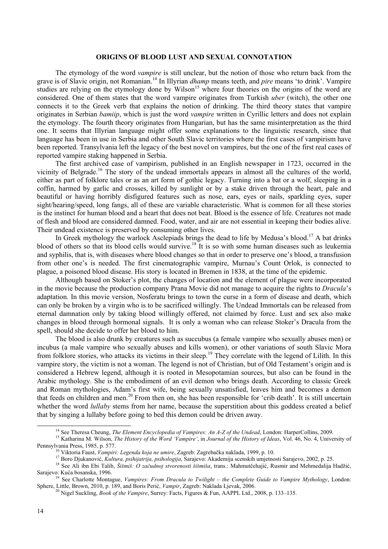#### **ORIGINS OF BLOOD LUST AND SEXUAL CONNOTATION**

The etymology of the word *vampire* is still unclear, but the notion of those who return back from the grave is of Slavic origin, not Romanian.14 In Illyrian *dhamp* means teeth, and *pire* means 'to drink'. Vampire studies are relying on the etymology done by  $Wilson<sup>15</sup>$  where four theories on the origins of the word are considered. One of them states that the word vampire originates from Turkish *uber* (witch), the other one connects it to the Greek verb that explains the notion of drinking. The third theory states that vampire originates in Serbian *bamiip*, which is just the word *vampire* written in Cyrillic letters and does not explain the etymology. The fourth theory originates from Hungarian, but has the same misinterpretation as the third one. It seems that Illyrian language might offer some explanations to the linguistic research, since that language has been in use in Serbia and other South Slavic territories where the first cases of vampirism have been reported. Transylvania left the legacy of the best novel on vampires, but the one of the first real cases of reported vampire staking happened in Serbia.

The first archived case of vampirism, published in an English newspaper in 1723, occurred in the vicinity of Belgrade.<sup>16</sup> The story of the undead immortals appears in almost all the cultures of the world, either as part of folklore tales or as an art form of gothic legacy. Turning into a bat or a wolf, sleeping in a coffin, harmed by garlic and crosses, killed by sunlight or by a stake driven through the heart, pale and beautiful or having horribly disfigured features such as nose, ears, eyes or nails, sparkling eyes, super sight/hearing/speed, long fangs, all of these are variable characteristic. What is common for all these stories is the instinct for human blood and a heart that does not beat. Blood is the essence of life. Creatures not made of flesh and blood are considered damned. Food, water, and air are not essential in keeping their bodies alive. Their undead existence is preserved by consuming other lives.

In Greek mythology the warlock Asclepiads brings the dead to life by Medusa's blood.<sup>17</sup> A bat drinks blood of others so that its blood cells would survive.18 It is so with some human diseases such as leukemia and syphilis, that is, with diseases where blood changes so that in order to preserve one's blood, a transfusion from other one's is needed. The first cinematographic vampire, Murnau's Count Orlok, is connected to plague, a poisoned blood disease. His story is located in Bremen in 1838, at the time of the epidemic.

Although based on Stoker's plot, the changes of location and the element of plague were incorporated in the movie because the production company Prana Movie did not manage to acquire the rights to *Dracula*'s adaptation. In this movie version, Nosferatu brings to town the curse in a form of disease and death, which can only be broken by a virgin who is to be sacrificed willingly. The Undead Immortals can be released from eternal damnation only by taking blood willingly offered, not claimed by force. Lust and sex also make changes in blood through hormonal signals. It is only a woman who can release Stoker's Dracula from the spell, should she decide to offer her blood to him.

The blood is also drunk by creatures such as succubus (a female vampire who sexually abuses men) or incubus (a male vampire who sexually abuses and kills women), or other variations of south Slavic Mora from folklore stories, who attacks its victims in their sleep.<sup>19</sup> They correlate with the legend of Lilith. In this vampire story, the victim is not a woman. The legend is not of Christian, but of Old Testament's origin and is considered a Hebrew legend, although it is rooted in Mesopotamian sources, but also can be found in the Arabic mythology. She is the embodiment of an evil demon who brings death. According to classic Greek and Roman mythologies, Adam's first wife, being sexually unsatisfied, leaves him and becomes a demon that feeds on children and men.<sup>20</sup> From then on, she has been responsible for 'crib death'. It is still uncertain whether the word *lullaby* stems from her name, because the superstition about this goddess created a belief that by singing a lullaby before going to bed this demon could be driven away.

<sup>&</sup>lt;sup>14</sup> See Theresa Cheung, *The Element Encyclopedia of Vampires: An A-Z of the Undead*, London: HarperCollins, 2009.<br><sup>15</sup> Katharina M. Wilson, *The History of the Word 'Vampire'*, in *Journal of the History of Ideas*, Vol.

<sup>&</sup>lt;sup>16</sup> Viktoria Faust, Vampiri: Legenda koja ne umire, Zagreb: Zagrebačka naklada, 1999, p. 10.<br><sup>17</sup> Boro Djukanović, *Kultura, psihijatrija, psihologija*, Sarajevo: Akademija scenskih umjetnosti Sarajevo, 2002, p. 25.<br><sup>18</sup>

See Charlotte Montague, *Vampires: From Dracula to Twilight – the Complete Guide to Vampire Mythology*, London: Sphere, Little, Brown, 2010, p. 189, and Boris Perić, *Vampir*, Zagreb: Naklada Ljevak, 2006.<br><sup>20</sup> Nigel Suckling, *Book of the Vampire*, Surrey: Facts, Figures & Fun, AAPPL Ltd., 2008, p. 133–135.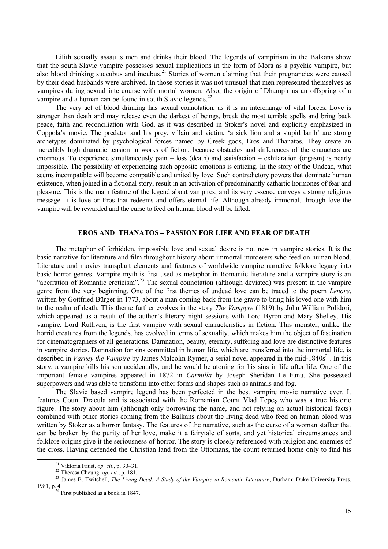Lilith sexually assaults men and drinks their blood. The legends of vampirism in the Balkans show that the south Slavic vampire possesses sexual implications in the form of Mora as a psychic vampire, but also blood drinking succubus and incubus.<sup>21</sup> Stories of women claiming that their pregnancies were caused by their dead husbands were archived. In those stories it was not unusual that men represented themselves as vampires during sexual intercourse with mortal women. Also, the origin of Dhampir as an offspring of a vampire and a human can be found in south Slavic legends.<sup>22</sup>

The very act of blood drinking has sexual connotation, as it is an interchange of vital forces. Love is stronger than death and may release even the darkest of beings, break the most terrible spells and bring back peace, faith and reconciliation with God, as it was described in Stoker's novel and explicitly emphasized in Coppola's movie. The predator and his prey, villain and victim, 'a sick lion and a stupid lamb' are strong archetypes dominated by psychological forces named by Greek gods, Eros and Thanatos. They create an incredibly high dramatic tension in works of fiction, because obstacles and differences of the characters are enormous. To experience simultaneously pain – loss (death) and satisfaction – exhilaration (orgasm) is nearly impossible. The possibility of experiencing such opposite emotions is enticing. In the story of the Undead, what seems incompatible will become compatible and united by love. Such contradictory powers that dominate human existence, when joined in a fictional story, result in an activation of predominantly cathartic hormones of fear and pleasure. This is the main feature of the legend about vampires, and its very essence conveys a strong religious message. It is love or Eros that redeems and offers eternal life. Although already immortal, through love the vampire will be rewarded and the curse to feed on human blood will be lifted.

### **EROS AND THANATOS – PASSION FOR LIFE AND FEAR OF DEATH**

The metaphor of forbidden, impossible love and sexual desire is not new in vampire stories. It is the basic narrative for literature and film throughout history about immortal murderers who feed on human blood. Literature and movies transplant elements and features of worldwide vampire narrative folklore legacy into basic horror genres. Vampire myth is first used as metaphor in Romantic literature and a vampire story is an "aberration of Romantic eroticism".23 The sexual connotation (although deviated) was present in the vampire genre from the very beginning. One of the first themes of undead love can be traced to the poem *Lenore*, written by Gottfried Bürger in 1773, about a man coming back from the grave to bring his loved one with him to the realm of death. This theme further evolves in the story *The Vampyre* (1819) by John William Polidori, which appeared as a result of the author's literary night sessions with Lord Byron and Mary Shelley. His vampire, Lord Ruthven, is the first vampire with sexual characteristics in fiction. This monster, unlike the horrid creatures from the legends, has evolved in terms of sexuality, which makes him the object of fascination for cinematographers of all generations. Damnation, beauty, eternity, suffering and love are distinctive features in vampire stories. Damnation for sins committed in human life, which are transferred into the immortal life, is described in *Varney the Vampire* by James Malcolm Rymer, a serial novel appeared in the mid-1840s<sup>24</sup>. In this story, a vampire kills his son accidentally, and he would be atoning for his sins in life after life. One of the important female vampires appeared in 1872 in *Carmilla* by Joseph Sheridan Le Fanu. She possessed superpowers and was able to transform into other forms and shapes such as animals and fog.

The Slavic based vampire legend has been perfected in the best vampire movie narrative ever. It features Count Dracula and is associated with the Romanian Count Vlad Ţepeş who was a true historic figure. The story about him (although only borrowing the name, and not relying on actual historical facts) combined with other stories coming from the Balkans about the living dead who feed on human blood was written by Stoker as a horror fantasy. The features of the narrative, such as the curse of a woman stalker that can be broken by the purity of her love, make it a fairytale of sorts, and yet historical circumstances and folklore origins give it the seriousness of horror. The story is closely referenced with religion and enemies of the cross. Having defended the Christian land from the Ottomans, the count returned home only to find his

 <sup>21</sup> Viktoria Faust, *op. cit*., p. 30–31. 22 Theresa Cheung, *op. cit*., p. 181. 23 James B. Twitchell, *The Living Dead: A Study of the Vampire in Romantic Literature*, Durham: Duke University Press, 1981, p. 4.  $24$  First published as a book in 1847.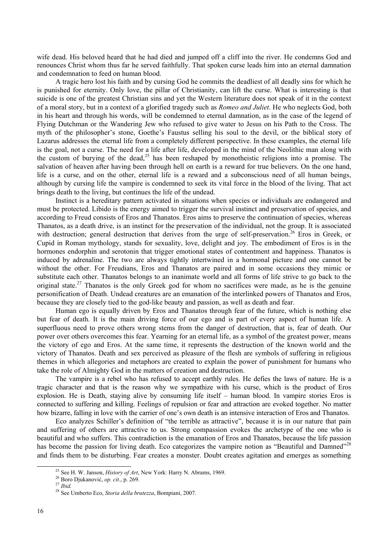wife dead. His beloved heard that he had died and jumped off a cliff into the river. He condemns God and renounces Christ whom thus far he served faithfully. That spoken curse leads him into an eternal damnation and condemnation to feed on human blood.

A tragic hero lost his faith and by cursing God he commits the deadliest of all deadly sins for which he is punished for eternity. Only love, the pillar of Christianity, can lift the curse. What is interesting is that suicide is one of the greatest Christian sins and yet the Western literature does not speak of it in the context of a moral story, but in a context of a glorified tragedy such as *Romeo and Juliet*. He who neglects God, both in his heart and through his words, will be condemned to eternal damnation, as in the case of the legend of Flying Dutchman or the Wandering Jew who refused to give water to Jesus on his Path to the Cross. The myth of the philosopher's stone, Goethe's Faustus selling his soul to the devil, or the biblical story of Lazarus addresses the eternal life from a completely different perspective. In these examples, the eternal life is the goal, not a curse. The need for a life after life, developed in the mind of the Neolithic man along with the custom of burying of the dead,<sup>25</sup> has been reshaped by monotheistic religions into a promise. The salvation of heaven after having been through hell on earth is a reward for true believers. On the one hand, life is a curse, and on the other, eternal life is a reward and a subconscious need of all human beings, although by cursing life the vampire is condemned to seek its vital force in the blood of the living. That act brings death to the living, but continues the life of the undead.

Instinct is a hereditary pattern activated in situations when species or individuals are endangered and must be protected. Libido is the energy aimed to trigger the survival instinct and preservation of species, and according to Freud consists of Eros and Thanatos. Eros aims to preserve the continuation of species, whereas Thanatos, as a death drive, is an instinct for the preservation of the individual, not the group. It is associated with destruction; general destruction that derives from the urge of self-preservation.<sup>26</sup> Eros in Greek, or Cupid in Roman mythology, stands for sexuality, love, delight and joy. The embodiment of Eros is in the hormones endorphin and serotonin that trigger emotional states of contentment and happiness. Thanatos is induced by adrenaline. The two are always tightly intertwined in a hormonal picture and one cannot be without the other. For Freudians, Eros and Thanatos are paired and in some occasions they mimic or substitute each other. Thanatos belongs to an inanimate world and all forms of life strive to go back to the original state.<sup>27</sup> Thanatos is the only Greek god for whom no sacrifices were made, as he is the genuine personification of Death. Undead creatures are an emanation of the interlinked powers of Thanatos and Eros, because they are closely tied to the god-like beauty and passion, as well as death and fear.

Human ego is equally driven by Eros and Thanatos through fear of the future, which is nothing else but fear of death. It is the main driving force of our ego and is part of every aspect of human life. A superfluous need to prove others wrong stems from the danger of destruction, that is, fear of death. Our power over others overcomes this fear. Yearning for an eternal life, as a symbol of the greatest power, means the victory of ego and Eros. At the same time, it represents the destruction of the known world and the victory of Thanatos. Death and sex perceived as pleasure of the flesh are symbols of suffering in religious themes in which allegories and metaphors are created to explain the power of punishment for humans who take the role of Almighty God in the matters of creation and destruction.

The vampire is a rebel who has refused to accept earthly rules. He defies the laws of nature. He is a tragic character and that is the reason why we sympathize with his curse, which is the product of Eros explosion. He is Death, staying alive by consuming life itself – human blood. In vampire stories Eros is connected to suffering and killing. Feelings of repulsion or fear and attraction are evoked together. No matter how bizarre, falling in love with the carrier of one's own death is an intensive interaction of Eros and Thanatos.

Eco analyzes Schiller's definition of "the terrible as attractive", because it is in our nature that pain and suffering of others are attractive to us. Strong compassion evokes the archetype of the one who is beautiful and who suffers. This contradiction is the emanation of Eros and Thanatos, because the life passion has become the passion for living death. Eco categorizes the vampire notion as "Beautiful and Damned"<sup>28</sup> and finds them to be disturbing. Fear creates a monster. Doubt creates agitation and emerges as something

<sup>&</sup>lt;sup>25</sup> See H. W. Janson, *History of Art*, New York: Harry N. Abrams, 1969.<br><sup>26</sup> Boro Djukanović, *op. cit.*, p. 269.<br><sup>27</sup> *Ibid.* <sup>28</sup> See Umberto Eco, *Storia della brutezza*, Bompiani, 2007.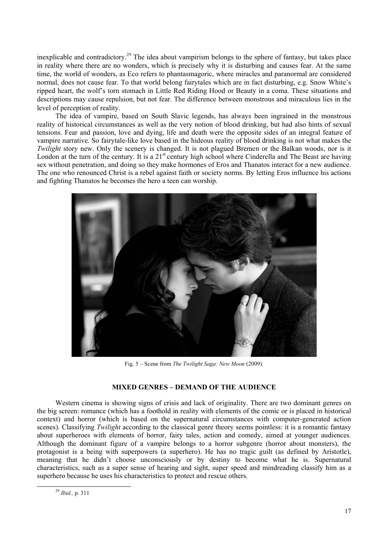inexplicable and contradictory.<sup>29</sup> The idea about vampirism belongs to the sphere of fantasy, but takes place in reality where there are no wonders, which is precisely why it is disturbing and causes fear. At the same time, the world of wonders, as Eco refers to phantasmagoric, where miracles and paranormal are considered normal, does not cause fear. To that world belong fairytales which are in fact disturbing, e.g. Snow White's ripped heart, the wolf's torn stomach in Little Red Riding Hood or Beauty in a coma. These situations and descriptions may cause repulsion, but not fear. The difference between monstrous and miraculous lies in the level of perception of reality.

The idea of vampire, based on South Slavic legends, has always been ingrained in the monstrous reality of historical circumstances as well as the very notion of blood drinking, but had also hints of sexual tensions. Fear and passion, love and dying, life and death were the opposite sides of an integral feature of vampire narrative. So fairytale-like love based in the hideous reality of blood drinking is not what makes the *Twilight* story new. Only the scenery is changed. It is not plagued Bremen or the Balkan woods, nor is it London at the turn of the century. It is a  $21<sup>st</sup>$  century high school where Cinderella and The Beast are having sex without penetration, and doing so they make hormones of Eros and Thanatos interact for a new audience. The one who renounced Christ is a rebel against faith or society norms. By letting Eros influence his actions and fighting Thanatos he becomes the hero a teen can worship.



Fig. 5 – Scene from *The Twilight Saga: New Moon* (2009).

## **MIXED GENRES – DEMAND OF THE AUDIENCE**

Western cinema is showing signs of crisis and lack of originality. There are two dominant genres on the big screen: romance (which has a foothold in reality with elements of the comic or is placed in historical context) and horror (which is based on the supernatural circumstances with computer-generated action scenes). Classifying *Twilight* according to the classical genre theory seems pointless: it is a romantic fantasy about superheroes with elements of horror, fairy tales, action and comedy, aimed at younger audiences. Although the dominant figure of a vampire belongs to a horror subgenre (horror about monsters), the protagonist is a being with superpowers (a superhero). He has no tragic guilt (as defined by Aristotle), meaning that he didn't choose unconsciously or by destiny to become what he is. Supernatural characteristics, such as a super sense of hearing and sight, super speed and mindreading classify him as a superhero because he uses his characteristics to protect and rescue others.

 <sup>29</sup> *Ibid.,* p. 311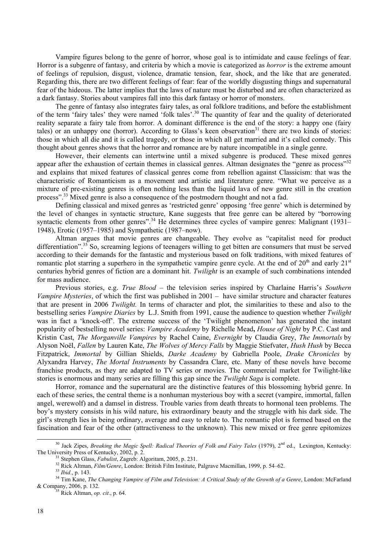Vampire figures belong to the genre of horror, whose goal is to intimidate and cause feelings of fear. Horror is a subgenre of fantasy, and criteria by which a movie is categorized as *horror* is the extreme amount of feelings of repulsion, disgust, violence, dramatic tension, fear, shock, and the like that are generated. Regarding this, there are two different feelings of fear: fear of the worldly disgusting things and supernatural fear of the hideous. The latter implies that the laws of nature must be disturbed and are often characterized as a dark fantasy. Stories about vampires fall into this dark fantasy or horror of monsters.

The genre of fantasy also integrates fairy tales, as oral folklore traditions, and before the establishment of the term 'fairy tales' they were named 'folk tales'.30 The quantity of fear and the quality of deteriorated reality separate a fairy tale from horror. A dominant difference is the end of the story: a happy one (fairy tales) or an unhappy one (horror). According to Glass's keen observation<sup>31</sup> there are two kinds of stories: those in which all die and it is called tragedy, or those in which all get married and it's called comedy. This thought about genres shows that the horror and romance are by nature incompatible in a single genre.

However, their elements can intertwine until a mixed subgenre is produced. These mixed genres appear after the exhaustion of certain themes in classical genres. Altman designates the "genre as process"<sup>32</sup> and explains that mixed features of classical genres come from rebellion against Classicism: that was the characteristic of Romanticism as a movement and artistic and literature genre. "What we perceive as a mixture of pre-existing genres is often nothing less than the liquid lava of new genre still in the creation process".33 Mixed genre is also a consequence of the postmodern thought and not a fad.

Defining classical and mixed genres as 'restricted genre' opposing 'free genre' which is determined by the level of changes in syntactic structure, Kane suggests that free genre can be altered by "borrowing syntactic elements from other genres".<sup>34</sup> He determines three cycles of vampire genres: Malignant (1931– 1948), Erotic (1957–1985) and Sympathetic (1987–now).

Altman argues that movie genres are changeable. They evolve as "capitalist need for product differentiation".<sup>35</sup> So, screaming legions of teenagers willing to get bitten are consumers that must be served according to their demands for the fantastic and mysterious based on folk traditions, with mixed features of romantic plot starring a superhero in the sympathetic vampire genre cycle. At the end of  $20<sup>th</sup>$  and early  $21<sup>st</sup>$ centuries hybrid genres of fiction are a dominant hit. *Twilight* is an example of such combinations intended for mass audience.

Previous stories, e.g. *True Blood* – the television series inspired by Charlaine Harris's *Southern Vampire Mysteries*, of which the first was published in 2001 – have similar structure and character features that are present in 2006 *Twilight.* In terms of character and plot, the similarities to these and also to the bestselling series *Vampire Diaries* by L.J. Smith from 1991, cause the audience to question whether *Twilight* was in fact a 'knock-off'. The extreme success of the 'Twilight phenomenon' has generated the instant popularity of bestselling novel series: *Vampire Academy* by Richelle Mead**,** *House of Night* by P.C. Cast and Kristin Cast, *The Morganville Vampires* by Rachel Caine, *Evernight* by Claudia Grey, *The Immortals* by Alyson Noël, *Fallen* by Lauren Kate, *The Wolves of Mercy Falls* by Maggie Stiefvater, *Hush Hush* by Becca Fitzpatrick, *Immortal* by Gillian Shields, *Darke Academy* by Gabriella Poole, *Drake Chronicles* by Alyxandra Harvey, *The Mortal Instruments* by Cassandra Clare, etc. Many of these novels have become franchise products, as they are adapted to TV series or movies. The commercial market for Twilight-like stories is enormous and many series are filling this gap since the *Twilight Saga* is complete.

Horror, romance and the supernatural are the distinctive features of this blossoming hybrid genre. In each of these series, the central theme is a nonhuman mysterious boy with a secret (vampire, immortal, fallen angel, werewolf) and a damsel in distress. Trouble varies from death threats to hormonal teen problems. The boy's mystery consists in his wild nature, his extraordinary beauty and the struggle with his dark side. The girl's strength lies in being ordinary, average and easy to relate to. The romantic plot is formed based on the fascination and fear of the other (attractiveness to the unknown). This new mixed or free genre epitomizes

<sup>&</sup>lt;sup>30</sup> Jack Zipes, *Breaking the Magic Spell: Radical Theories of Folk and Fairy Tales* (1979), 2<sup>nd</sup> ed., Lexington, Kentucky: The University Press of Kentucky, 2002, p. 2.

<sup>&</sup>lt;sup>31</sup> Stephen Glass, *Fabulist*, Zagreb: Algoritam, 2005, p. 231.<br><sup>32</sup> Rick Altman, *Film/Genre*, London: British Film Institute, Palgrave Macmillan, 1999, p. 54–62.<br><sup>33</sup> *Ibid.*, p. 143.<br><sup>34</sup> Tim Kane, *The Changing Vampi* & Company, 2006, p. 132. 35 Rick Altman, *op. cit*., p. 64.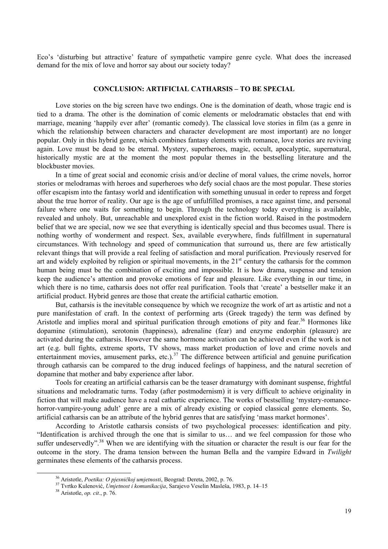Eco's 'disturbing but attractive' feature of sympathetic vampire genre cycle. What does the increased demand for the mix of love and horror say about our society today?

#### **CONCLUSION: ARTIFICIAL CATHARSIS – TO BE SPECIAL**

Love stories on the big screen have two endings. One is the domination of death, whose tragic end is tied to a drama. The other is the domination of comic elements or melodramatic obstacles that end with marriage, meaning 'happily ever after' (romantic comedy). The classical love stories in film (as a genre in which the relationship between characters and character development are most important) are no longer popular. Only in this hybrid genre, which combines fantasy elements with romance, love stories are reviving again. Love must be dead to be eternal. Mystery, superheroes, magic, occult, apocalyptic, supernatural, historically mystic are at the moment the most popular themes in the bestselling literature and the blockbuster movies.

In a time of great social and economic crisis and/or decline of moral values, the crime novels, horror stories or melodramas with heroes and superheroes who defy social chaos are the most popular. These stories offer escapism into the fantasy world and identification with something unusual in order to repress and forget about the true horror of reality. Our age is the age of unfulfilled promises, a race against time, and personal failure where one waits for something to begin. Through the technology today everything is available, revealed and unholy. But, unreachable and unexplored exist in the fiction world. Raised in the postmodern belief that we are special, now we see that everything is identically special and thus becomes usual. There is nothing worthy of wonderment and respect. Sex, available everywhere, finds fulfillment in supernatural circumstances. With technology and speed of communication that surround us, there are few artistically relevant things that will provide a real feeling of satisfaction and moral purification. Previously reserved for art and widely exploited by religion or spiritual movements, in the  $21<sup>st</sup>$  century the catharsis for the common human being must be the combination of exciting and impossible. It is how drama, suspense and tension keep the audience's attention and provoke emotions of fear and pleasure. Like everything in our time, in which there is no time, catharsis does not offer real purification. Tools that 'create' a bestseller make it an artificial product. Hybrid genres are those that create the artificial cathartic emotion.

But, catharsis is the inevitable consequence by which we recognize the work of art as artistic and not a pure manifestation of craft. In the context of performing arts (Greek tragedy) the term was defined by Aristotle and implies moral and spiritual purification through emotions of pity and fear.<sup>36</sup> Hormones like dopamine (stimulation), serotonin (happiness), adrenaline (fear) and enzyme endorphin (pleasure) are activated during the catharsis. However the same hormone activation can be achieved even if the work is not art (e.g. bull fights, extreme sports, TV shows, mass market production of love and crime novels and entertainment movies, amusement parks, etc.).<sup>37</sup> The difference between artificial and genuine purification through catharsis can be compared to the drug induced feelings of happiness, and the natural secretion of dopamine that mother and baby experience after labor.

Tools for creating an artificial catharsis can be the teaser dramaturgy with dominant suspense, frightful situations and melodramatic turns. Today (after postmodernism) it is very difficult to achieve originality in fiction that will make audience have a real cathartic experience. The works of bestselling 'mystery-romancehorror-vampire-young adult' genre are a mix of already existing or copied classical genre elements. So, artificial catharsis can be an attribute of the hybrid genres that are satisfying 'mass market hormones'.

According to Aristotle catharsis consists of two psychological processes: identification and pity. "Identification is archived through the one that is similar to us… and we feel compassion for those who suffer undeservedly".<sup>38</sup> When we are identifying with the situation or character the result is our fear for the outcome in the story. The drama tension between the human Bella and the vampire Edward in *Twilight*  germinates these elements of the catharsis process.

 <sup>36</sup> Aristotle, *Poetika: O pjesničkoj umjetnosti*, Beograd: Dereta, 2002, p. 76. 37 Tvrtko Kulenović, *Umjetnost i komunikacija*, Sarajevo Veselin Masleša, 1983, p. 14–15 38 Aristotle, *op. cit*., p. 76.